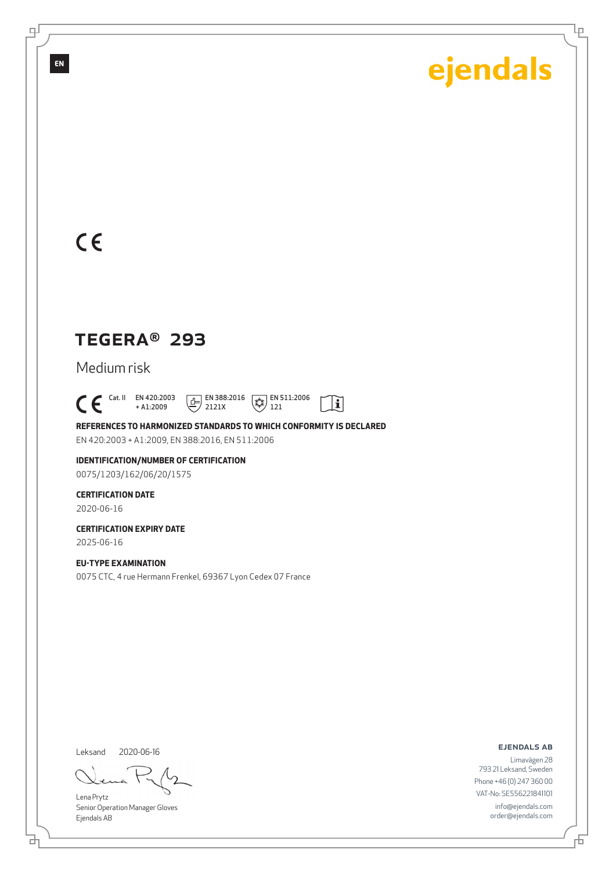Ļρ

## $C<sub>6</sub>$

## TEGERA® 293

Medium risk

 $C \in$ <sup>Cat. II</sup> EN 420:2003 + A1:2009  $\boxed{E}$  EN 388:2016 2121X  $\sqrt{\overline{\mathcal{L}}\mathcal{L}}$  EN 511:2006 121

**REFERENCES TO HARMONIZED STANDARDS TO WHICH CONFORMITY IS DECLARED** EN 420:2003 + A1:2009, EN 388:2016, EN 511:2006

 $\mathbf{i}$ 

**IDENTIFICATION/NUMBER OF CERTIFICATION** 0075/1203/162/06/20/1575

**CERTIFICATION DATE**

2020-06-16

**CERTIFICATION EXPIRY DATE** 2025-06-16

**EU-TYPE EXAMINATION** 0075 CTC, 4 rue Hermann Frenkel, 69367 Lyon Cedex 07 France

Leksand 2020-06-16

ᄘ

Lena Prytz Senior Operation Manager Gloves Ejendals AB

ejendals ab

舌

Limavägen 28 793 21 Leksand, Sweden Phone +46 (0) 247 360 00 VAT-No: SE556221841101 info@ejendals.com order@ejendals.com

௪

**EN**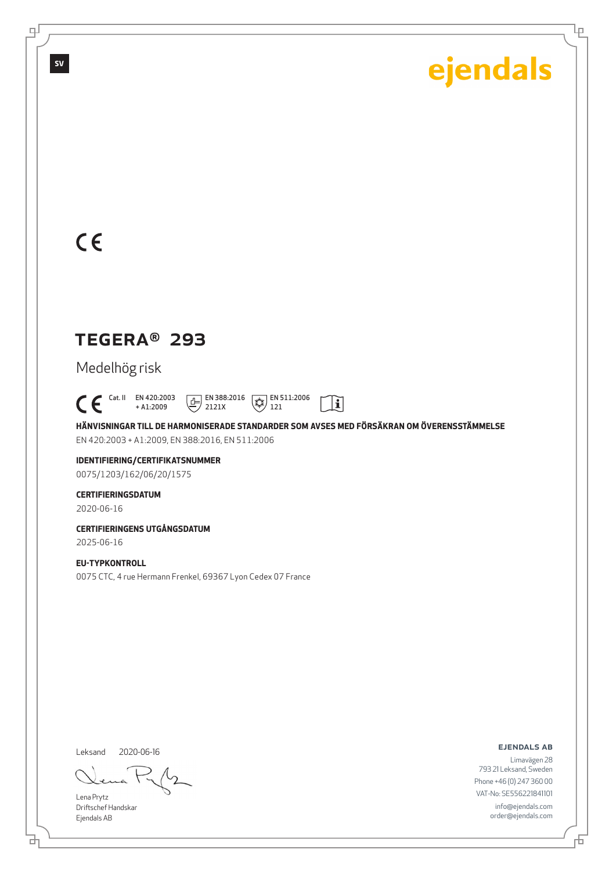Ļρ

## $C<sub>ε</sub>$

**SV**

டி

## TEGERA® 293

Medelhög risk

 $C \in$ <sup>Cat. II</sup> EN 420:2003 + A1:2009  $\boxed{E}$  EN 388:2016 2121X  $\left(\frac{1}{4}\right)$  EN 511:2006 121

**HÄNVISNINGAR TILL DE HARMONISERADE STANDARDER SOM AVSES MED FÖRSÄKRAN OM ÖVERENSSTÄMMELSE** EN 420:2003 + A1:2009, EN 388:2016, EN 511:2006

 $\mathbf{i}$ 

### **IDENTIFIERING/CERTIFIKATSNUMMER**

0075/1203/162/06/20/1575

#### **CERTIFIERINGSDATUM**

2020-06-16

### **CERTIFIERINGENS UTGÅNGSDATUM**

2025-06-16

### **EU-TYPKONTROLL**

0075 CTC, 4 rue Hermann Frenkel, 69367 Lyon Cedex 07 France

Leksand 2020-06-16

Lena Prytz Driftschef Handskar Ejendals AB

ejendals ab

舌

Limavägen 28 793 21 Leksand, Sweden Phone +46 (0) 247 360 00 VAT-No: SE556221841101 info@ejendals.com order@ejendals.com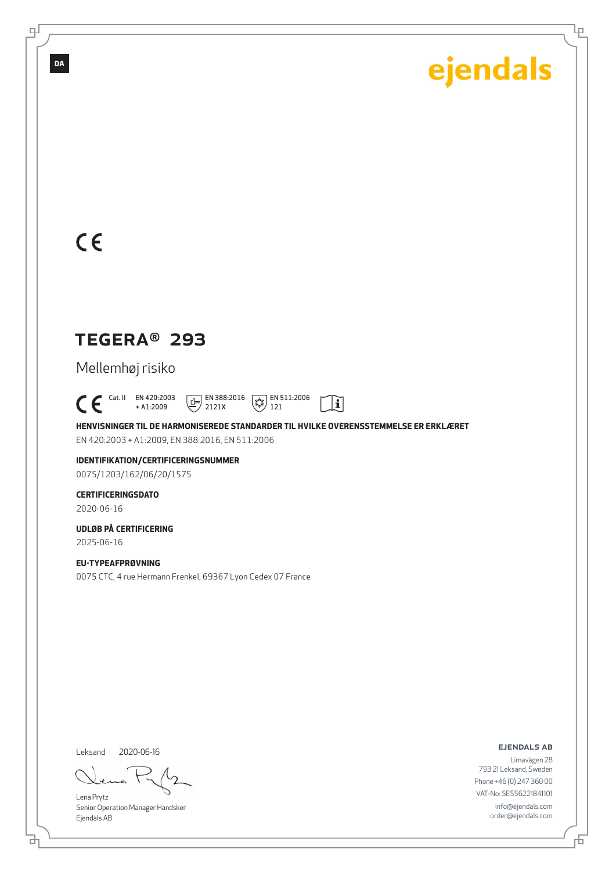Ļρ

## $C<sub>ε</sub>$

**DA**

௪

## TEGERA® 293

Mellemhøj risiko

 $\bigcap_{+ \text{A1:2009}}^{\text{Cat. II}}$  EN 420:2003 + A1:2009  $\boxed{E}$  EN 388:2016 2121X  $\left(\frac{1}{4}\right)$  EN 511:2006 121

**HENVISNINGER TIL DE HARMONISEREDE STANDARDER TIL HVILKE OVERENSSTEMMELSE ER ERKLÆRET** EN 420:2003 + A1:2009, EN 388:2016, EN 511:2006

 $|\tilde{\mathbf{i}}|$ 

### **IDENTIFIKATION/CERTIFICERINGSNUMMER**

0075/1203/162/06/20/1575

### **CERTIFICERINGSDATO**

2020-06-16

#### **UDLØB PÅ CERTIFICERING** 2025-06-16

**EU-TYPEAFPRØVNING** 0075 CTC, 4 rue Hermann Frenkel, 69367 Lyon Cedex 07 France

Leksand 2020-06-16

Lena Prytz Senior Operation Manager Handsker Ejendals AB

ejendals ab

Limavägen 28 793 21 Leksand, Sweden Phone +46 (0) 247 360 00 VAT-No: SE556221841101 info@ejendals.com order@ejendals.com

ᄘ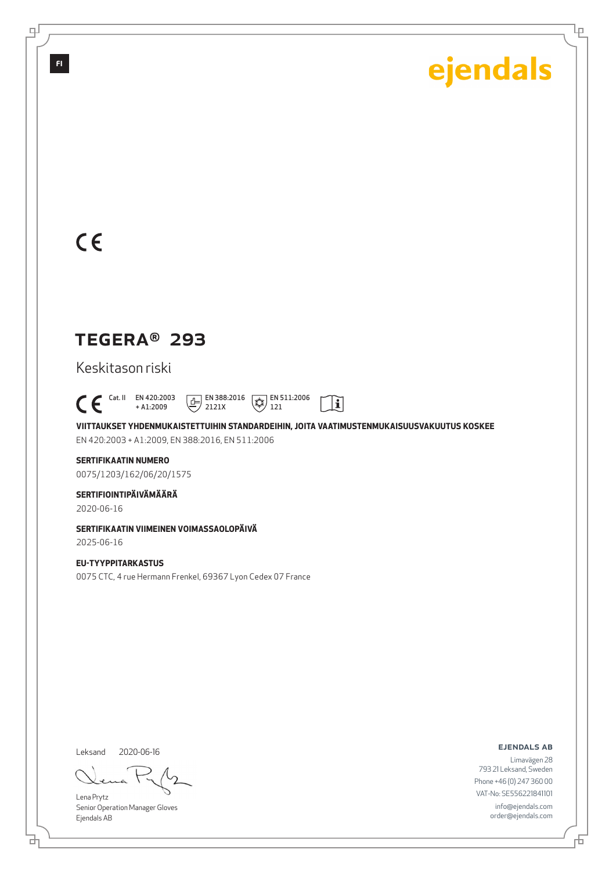Ļρ

## $C<sub>ε</sub>$

## TEGERA® 293

Keskitason riski

 Cat. II EN 420:2003 + A1:2009  $\frac{1}{2}$  EN 388:2016 2121X  $\sqrt{\frac{4}{3}}$  EN 511:2006 121

**VIITTAUKSET YHDENMUKAISTETTUIHIN STANDARDEIHIN, JOITA VAATIMUSTENMUKAISUUSVAKUUTUS KOSKEE** EN 420:2003 + A1:2009, EN 388:2016, EN 511:2006

 $|\tilde{\mathbf{i}}|$ 

#### **SERTIFIKAATIN NUMERO** 0075/1203/162/06/20/1575

**SERTIFIOINTIPÄIVÄMÄÄRÄ**

2020-06-16

#### **SERTIFIKAATIN VIIMEINEN VOIMASSAOLOPÄIVÄ** 2025-06-16

**EU-TYYPPITARKASTUS** 0075 CTC, 4 rue Hermann Frenkel, 69367 Lyon Cedex 07 France

Leksand 2020-06-16

đ

Lena Prytz Senior Operation Manager Gloves Ejendals AB

ejendals ab

舌

Limavägen 28 793 21 Leksand, Sweden Phone +46 (0) 247 360 00 VAT-No: SE556221841101 info@ejendals.com order@ejendals.com

டி

**FI**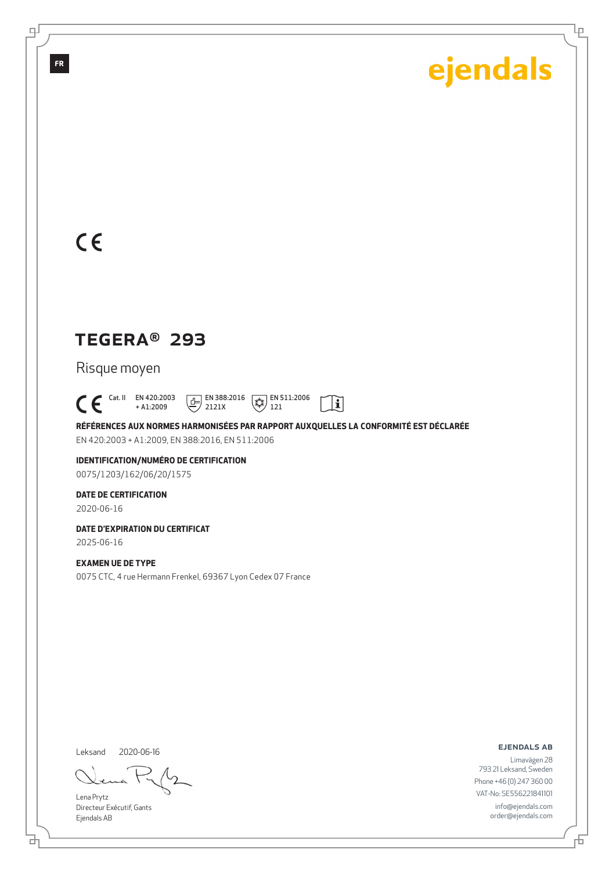Ļρ

## $C<sub>ε</sub>$

**FR**

டி

## TEGERA® 293

Risque moyen

 $\mathsf{C}\,\mathsf{E}$ <sup>Cat. II</sup> EN 420:2003 + A1:2009  $\boxed{1}$  EN 388:2016 2121X EN 511:2006  $121$ 

**RÉFÉRENCES AUX NORMES HARMONISÉES PAR RAPPORT AUXQUELLES LA CONFORMITÉ EST DÉCLARÉE** EN 420:2003 + A1:2009, EN 388:2016, EN 511:2006

 $|\tilde{\mathbf{i}}|$ 

**IDENTIFICATION/NUMÉRO DE CERTIFICATION** 0075/1203/162/06/20/1575

**DATE DE CERTIFICATION**

2020-06-16

**DATE D'EXPIRATION DU CERTIFICAT** 2025-06-16

#### **EXAMEN UE DE TYPE**

0075 CTC, 4 rue Hermann Frenkel, 69367 Lyon Cedex 07 France

Leksand 2020-06-16

ᄘ

Lena Prytz Directeur Exécutif, Gants Ejendals AB

ejendals ab

舌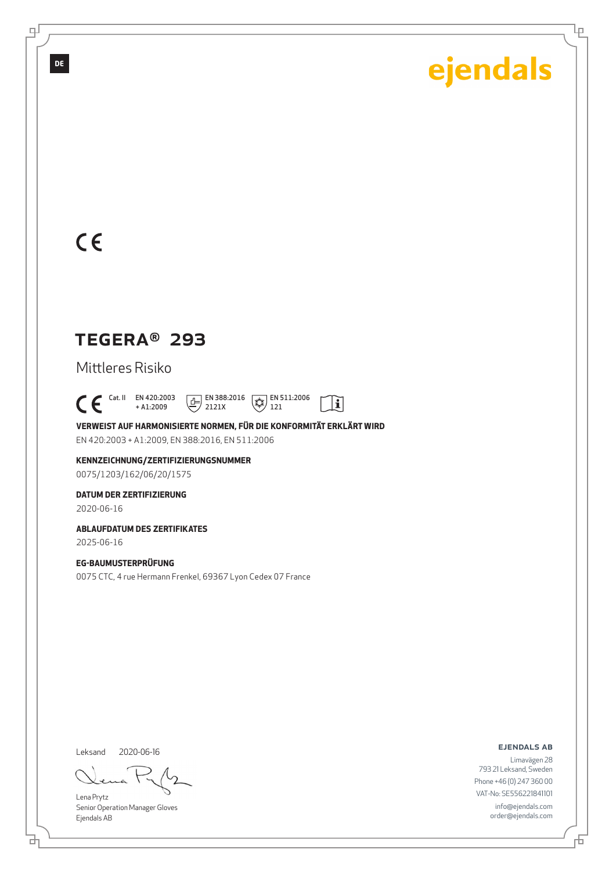Ļρ

## $C<sub>ε</sub>$

**DE**

௪

## TEGERA® 293

Mittleres Risiko

 $C \in$ <sup>Cat. II</sup> EN 420:2003 EN 388:2016 EN 511:2006  $|\tilde{\mathbf{i}}|$ + A1:2009 2121X  $121$ 

**VERWEIST AUF HARMONISIERTE NORMEN, FÜR DIE KONFORMITÄT ERKLÄRT WIRD** EN 420:2003 + A1:2009, EN 388:2016, EN 511:2006

**KENNZEICHNUNG/ZERTIFIZIERUNGSNUMMER** 0075/1203/162/06/20/1575

**DATUM DER ZERTIFIZIERUNG**

2020-06-16

**ABLAUFDATUM DES ZERTIFIKATES** 2025-06-16

**EG-BAUMUSTERPRÜFUNG** 0075 CTC, 4 rue Hermann Frenkel, 69367 Lyon Cedex 07 France

Leksand 2020-06-16

Lena Prytz Senior Operation Manager Gloves Ejendals AB

ejendals ab

舌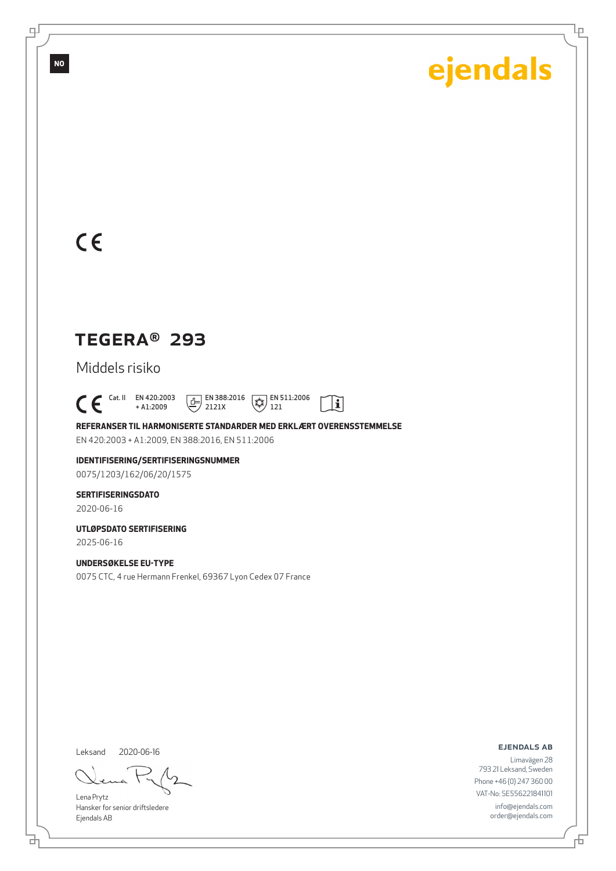Ļρ

## $C<sub>ε</sub>$

**NO**

௪

## TEGERA® 293

Middels risiko

 $C \in$ <sup>Cat. II</sup> EN 420:2003 EN 388:2016 EN 511:2006  $\mathbf{i}$ + A1:2009 2121X 121

**REFERANSER TIL HARMONISERTE STANDARDER MED ERKLÆRT OVERENSSTEMMELSE** EN 420:2003 + A1:2009, EN 388:2016, EN 511:2006

**IDENTIFISERING/SERTIFISERINGSNUMMER** 0075/1203/162/06/20/1575

**SERTIFISERINGSDATO**

2020-06-16

**UTLØPSDATO SERTIFISERING** 2025-06-16

**UNDERSØKELSE EU-TYPE** 0075 CTC, 4 rue Hermann Frenkel, 69367 Lyon Cedex 07 France

Leksand 2020-06-16

Lena Prytz Hansker for senior driftsledere Ejendals AB

ejendals ab

Limavägen 28 793 21 Leksand, Sweden Phone +46 (0) 247 360 00 VAT-No: SE556221841101 info@ejendals.com order@ejendals.com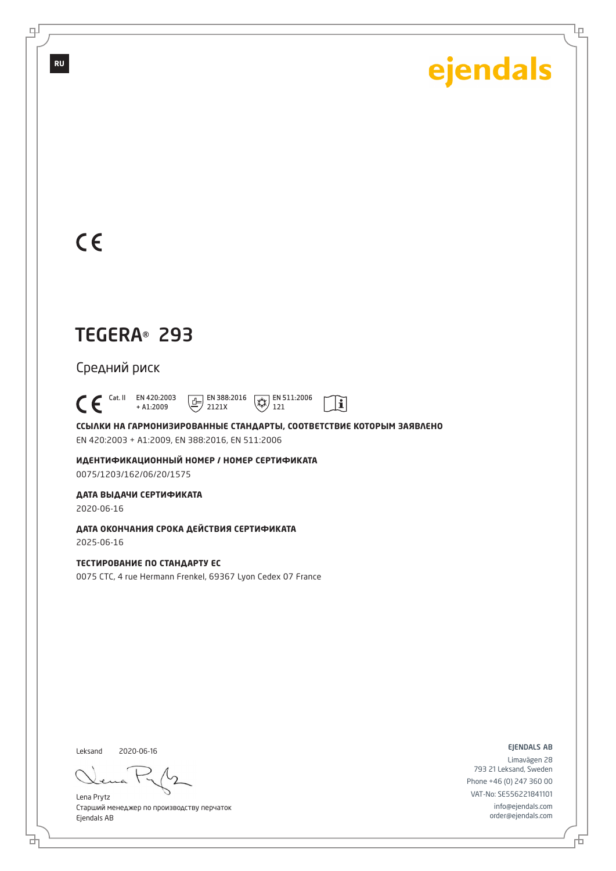Ļρ

## $C \in$

**RU**

டி

## TEGERA® 293

Средний риск

 $\bigcap_{+ A1:2009}^{\text{Cat. II}}$  EN 420:2003 + A1:2009  $\boxed{1}$  EN 388:2016 2121X  $\sqrt{\frac{1}{2N}}$  EN 511:2006 121

**ССЫЛКИ НА ГАРМОНИЗИРОВАННЫЕ СТАНДАРТЫ, СООТВЕТСТВИЕ КОТОРЫМ ЗАЯВЛЕНО** EN 420:2003 + A1:2009, EN 388:2016, EN 511:2006

 $\mathbf{i}$ 

**ИДЕНТИФИКАЦИОННЫЙ НОМЕР / НОМЕР СЕРТИФИКАТА** 0075/1203/162/06/20/1575

**ДАТА ВЫДАЧИ СЕРТИФИКАТА**

2020-06-16

**ДАТА ОКОНЧАНИЯ СРОКА ДЕЙСТВИЯ СЕРТИФИКАТА** 2025-06-16

**ТЕСТИРОВАНИЕ ПО СТАНДАРТУ ЕС**

0075 CTC, 4 rue Hermann Frenkel, 69367 Lyon Cedex 07 France

Leksand 2020-06-16

Lena Prytz Старший менеджер по производству перчаток Ejendals AB

ejendals ab

Limavägen 28 793 21 Leksand, Sweden Phone +46 (0) 247 360 00 VAT-No: SE556221841101 info@ejendals.com order@ejendals.com

đ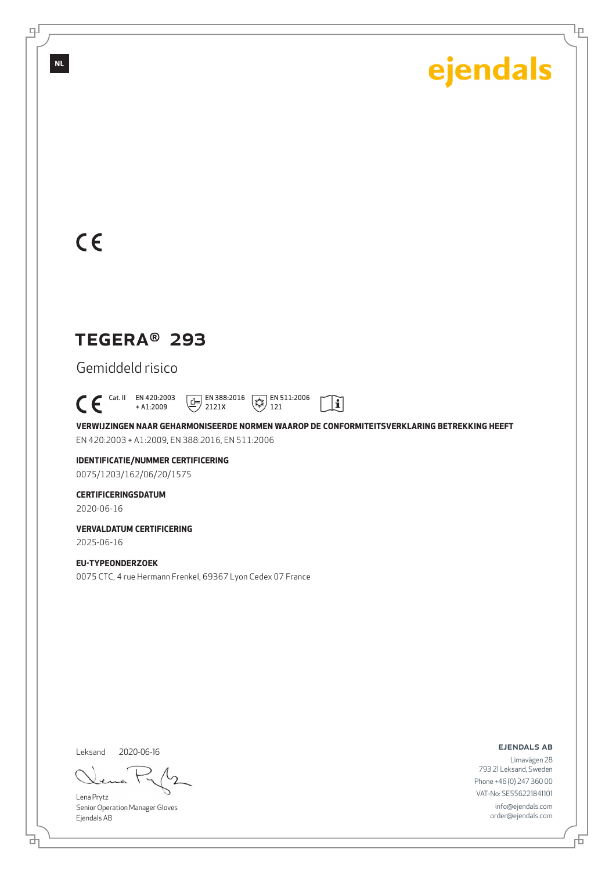Ļρ

## $C<sub>ε</sub>$

**NL**

로

## TEGERA® 293

Gemiddeld risico

 $C \in$ <sup>Cat. II</sup> EN 420:2003 + A1:2009  $\boxed{1}$  EN 388:2016 2121X  $\sqrt{\overline{\mathcal{L}}\mathcal{L}}$  EN 511:2006 121

**VERWIJZINGEN NAAR GEHARMONISEERDE NORMEN WAAROP DE CONFORMITEITSVERKLARING BETREKKING HEEFT** EN 420:2003 + A1:2009, EN 388:2016, EN 511:2006

 $\mathbf{i}$ 

### **IDENTIFICATIE/NUMMER CERTIFICERING**

0075/1203/162/06/20/1575

#### **CERTIFICERINGSDATUM**

2020-06-16

#### **VERVALDATUM CERTIFICERING** 2025-06-16

**EU-TYPEONDERZOEK** 0075 CTC, 4 rue Hermann Frenkel, 69367 Lyon Cedex 07 France

Leksand 2020-06-16

ᄘ

Lena Prytz Senior Operation Manager Gloves Ejendals AB

ejendals ab

Limavägen 28 793 21 Leksand, Sweden Phone +46 (0) 247 360 00 VAT-No: SE556221841101 info@ejendals.com order@ejendals.com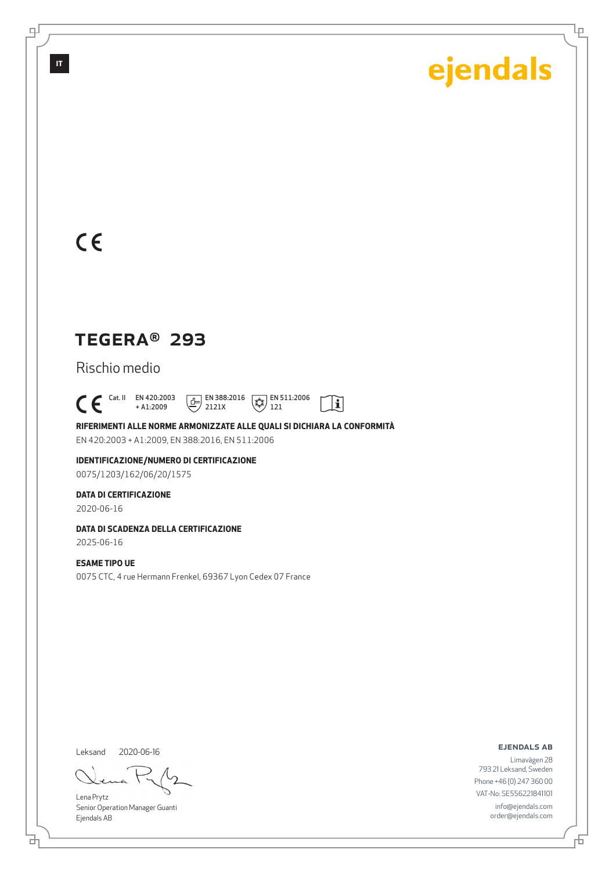Ļρ

## $C<sub>ε</sub>$

**IT**

டி

## TEGERA® 293

Rischio medio

 $C \in$ <sup>Cat. II</sup> EN 420:2003  $\boxed{1}$  EN 388:2016  $\sqrt{\overline{\mathcal{L}}\mathcal{L}}$  EN 511:2006  $|\tilde{\mathbf{i}}|$ + A1:2009 2121X 121

**RIFERIMENTI ALLE NORME ARMONIZZATE ALLE QUALI SI DICHIARA LA CONFORMITÀ** EN 420:2003 + A1:2009, EN 388:2016, EN 511:2006

**IDENTIFICAZIONE/NUMERO DI CERTIFICAZIONE** 0075/1203/162/06/20/1575

#### **DATA DI CERTIFICAZIONE**

2020-06-16

### **DATA DI SCADENZA DELLA CERTIFICAZIONE**

2025-06-16

#### **ESAME TIPO UE**

0075 CTC, 4 rue Hermann Frenkel, 69367 Lyon Cedex 07 France

Leksand

2020-06-16

Lena Prytz Senior Operation Manager Guanti Ejendals AB

ejendals ab

Limavägen 28 793 21 Leksand, Sweden Phone +46 (0) 247 360 00 VAT-No: SE556221841101 info@ejendals.com order@ejendals.com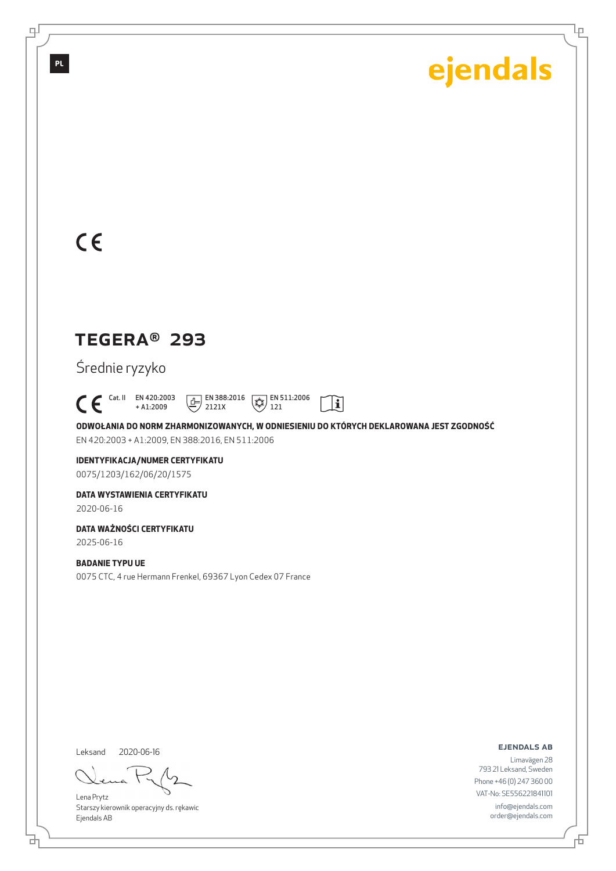Ļρ

## $C<sub>ε</sub>$

**PL**

டி

## TEGERA® 293

Średnie ryzyko

 $\bigcap_{+ \text{A1:2009}}^{\text{Cat. II}}$  EN 420:2003 + A1:2009  $\boxed{E}$  EN 388:2016 2121X  $\sqrt{\frac{4}{3}}$  EN 511:2006 121

**ODWOŁANIA DO NORM ZHARMONIZOWANYCH, W ODNIESIENIU DO KTÓRYCH DEKLAROWANA JEST ZGODNOŚĆ** EN 420:2003 + A1:2009, EN 388:2016, EN 511:2006

 $\mathbf{i}$ 

## **IDENTYFIKACJA/NUMER CERTYFIKATU**

0075/1203/162/06/20/1575

#### **DATA WYSTAWIENIA CERTYFIKATU**

2020-06-16

### **DATA WAŻNOŚCI CERTYFIKATU**

2025-06-16

### **BADANIE TYPU UE**

0075 CTC, 4 rue Hermann Frenkel, 69367 Lyon Cedex 07 France

Leksand 2020-06-16

Lena Prytz Starszy kierownik operacyjny ds. rękawic Ejendals AB

ejendals ab

舌

Limavägen 28 793 21 Leksand, Sweden Phone +46 (0) 247 360 00 VAT-No: SE556221841101 info@ejendals.com order@ejendals.com

đ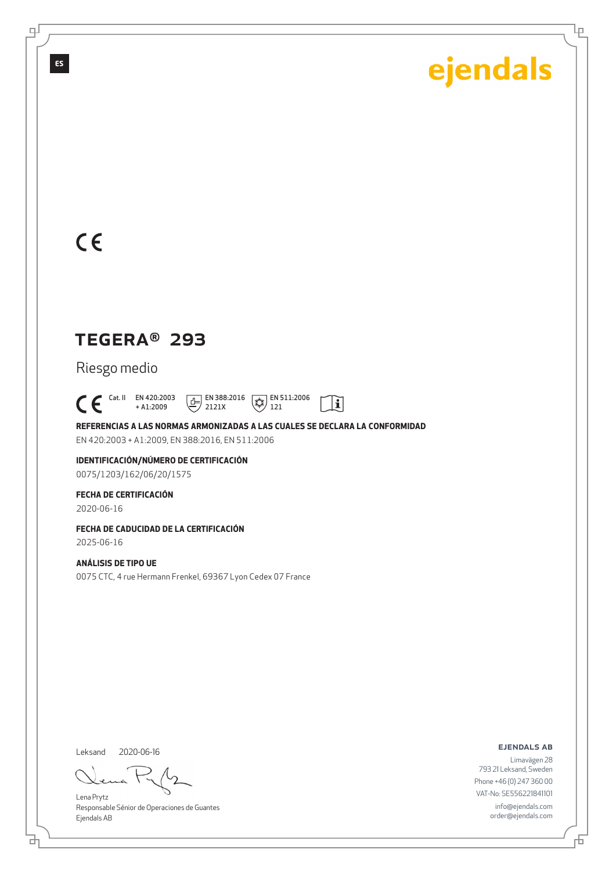Ļρ

## $C<sub>ε</sub>$

**ES**

டி

## TEGERA® 293

Riesgo medio

 $\bigcap_{+ \text{A1:2009}}^{\text{Cat. II}}$  EN 420:2003  $\boxed{E}$  EN 388:2016  $\sqrt{\overline{\mathcal{L}}\mathcal{L}}$  EN 511:2006  $\mathbf{i}$ + A1:2009 2121X 121

**REFERENCIAS A LAS NORMAS ARMONIZADAS A LAS CUALES SE DECLARA LA CONFORMIDAD** EN 420:2003 + A1:2009, EN 388:2016, EN 511:2006

**IDENTIFICACIÓN/NÚMERO DE CERTIFICACIÓN** 0075/1203/162/06/20/1575

#### **FECHA DE CERTIFICACIÓN**

2020-06-16

### **FECHA DE CADUCIDAD DE LA CERTIFICACIÓN**

2025-06-16

#### **ANÁLISIS DE TIPO UE**

0075 CTC, 4 rue Hermann Frenkel, 69367 Lyon Cedex 07 France

Leksand 2020-06-16

ᄘ

Lena Prytz Responsable Sénior de Operaciones de Guantes Ejendals AB

ejendals ab

Limavägen 28 793 21 Leksand, Sweden Phone +46 (0) 247 360 00 VAT-No: SE556221841101 info@ejendals.com order@ejendals.com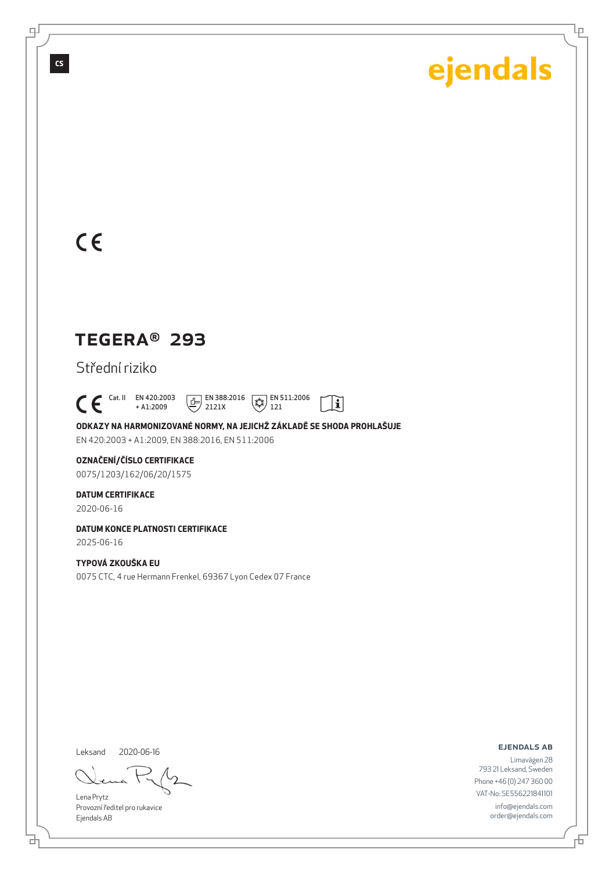Ļρ

## $C<sub>6</sub>$

**CS**

டி

## TEGERA® 293

Střední riziko

 $C \in$ <sup>Cat. II</sup> EN 420:2003  $\boxed{1}$  EN 388:2016  $\sqrt{\overline{\mathcal{L}}\mathcal{L}}$  EN 511:2006  $\mathbf{\widetilde{E}}$ + A1:2009 2121X 121

**ODKAZY NA HARMONIZOVANÉ NORMY, NA JEJICHŽ ZÁKLADĚ SE SHODA PROHLAŠUJE** EN 420:2003 + A1:2009, EN 388:2016, EN 511:2006

#### **OZNAČENÍ/ČÍSLO CERTIFIKACE**

0075/1203/162/06/20/1575

#### **DATUM CERTIFIKACE**

2020-06-16

#### **DATUM KONCE PLATNOSTI CERTIFIKACE** 2025-06-16

**TYPOVÁ ZKOUŠKA EU** 0075 CTC, 4 rue Hermann Frenkel, 69367 Lyon Cedex 07 France

Leksand 2020-06-16

ᄘ

Lena Prytz Provozní ředitel pro rukavice Ejendals AB

ejendals ab

舌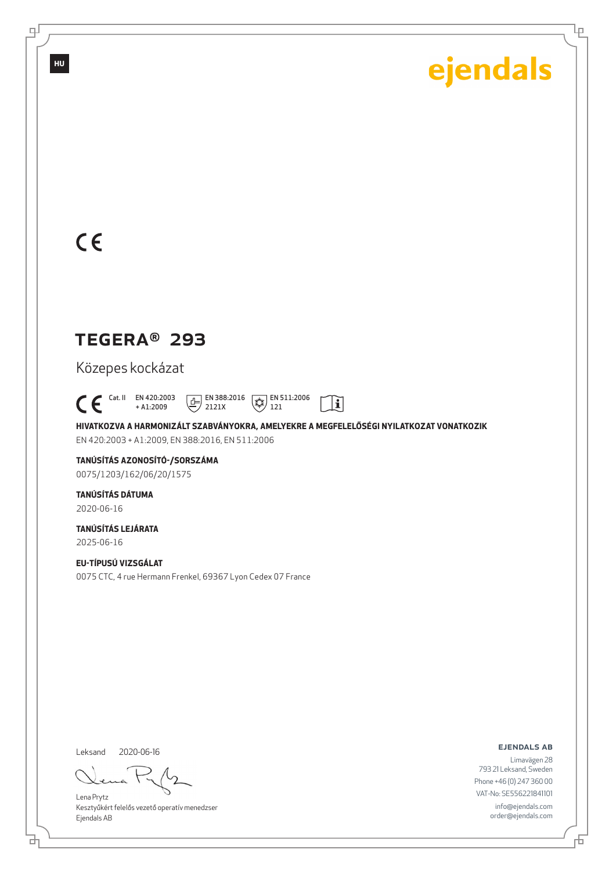Ļρ

## $C<sub>ε</sub>$

**HU**

டி

## TEGERA® 293

Közepes kockázat

 $\bigcap_{+ \text{A1:2009}}^{\text{Cat. II}}$  EN 420:2003 + A1:2009  $\boxed{1}$  EN 388:2016 2121X  $\left(\frac{1}{2}\right)$  EN 511:2006 121

**HIVATKOZVA A HARMONIZÁLT SZABVÁNYOKRA, AMELYEKRE A MEGFELELŐSÉGI NYILATKOZAT VONATKOZIK** EN 420:2003 + A1:2009, EN 388:2016, EN 511:2006

 $\mathbf{i}$ 

## **TANÚSÍTÁS AZONOSÍTÓ-/SORSZÁMA**

0075/1203/162/06/20/1575

### **TANÚSÍTÁS DÁTUMA**

2020-06-16

#### **TANÚSÍTÁS LEJÁRATA** 2025-06-16

**EU-TÍPUSÚ VIZSGÁLAT** 0075 CTC, 4 rue Hermann Frenkel, 69367 Lyon Cedex 07 France

Leksand 2020-06-16

đ

Lena Prytz Kesztyűkért felelős vezető operatív menedzser Ejendals AB

ejendals ab

Limavägen 28 793 21 Leksand, Sweden Phone +46 (0) 247 360 00 VAT-No: SE556221841101 info@ejendals.com order@ejendals.com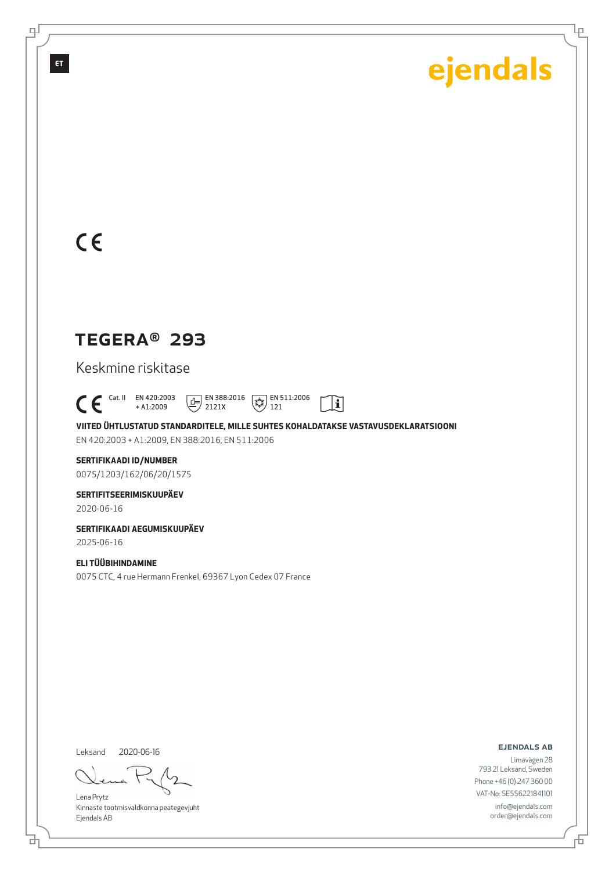Ļρ

## $C<sub>ε</sub>$

**ET**

로

## TEGERA® 293

Keskmine riskitase

 $C \in$ <sup>Cat. II</sup> EN 420:2003 + A1:2009 EN 388:2016 EN 511:2006 2121X  $121$ 

**VIITED ÜHTLUSTATUD STANDARDITELE, MILLE SUHTES KOHALDATAKSE VASTAVUSDEKLARATSIOONI** EN 420:2003 + A1:2009, EN 388:2016, EN 511:2006

 $|\tilde{\mathbf{i}}|$ 

**SERTIFIKAADI ID/NUMBER** 0075/1203/162/06/20/1575

**SERTIFITSEERIMISKUUPÄEV**

2020-06-16

**SERTIFIKAADI AEGUMISKUUPÄEV** 2025-06-16

**ELI TÜÜBIHINDAMINE** 0075 CTC, 4 rue Hermann Frenkel, 69367 Lyon Cedex 07 France

Leksand 2020-06-16

đ

Lena Prytz Kinnaste tootmisvaldkonna peategevjuht Ejendals AB

ejendals ab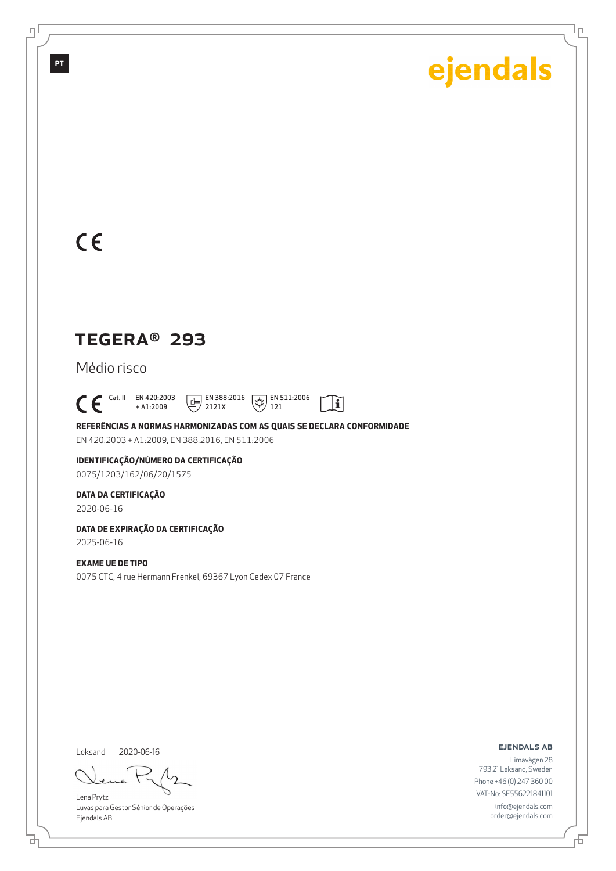Ļρ

## $C<sub>ε</sub>$

**PT**

டி

## TEGERA® 293

Médio risco

 $\mathsf{C}\,\mathsf{E}$ <sup>Cat. II</sup> EN 420:2003 + A1:2009  $\boxed{E}$  EN 388:2016 2121X  $\sqrt{\overline{\mathcal{L}}\mathcal{L}}$  EN 511:2006 121

**REFERÊNCIAS A NORMAS HARMONIZADAS COM AS QUAIS SE DECLARA CONFORMIDADE** EN 420:2003 + A1:2009, EN 388:2016, EN 511:2006

 $|\tilde{\mathbf{i}}|$ 

**IDENTIFICAÇÃO/NÚMERO DA CERTIFICAÇÃO** 0075/1203/162/06/20/1575

**DATA DA CERTIFICAÇÃO**

2020-06-16

**DATA DE EXPIRAÇÃO DA CERTIFICAÇÃO** 2025-06-16

**EXAME UE DE TIPO**

0075 CTC, 4 rue Hermann Frenkel, 69367 Lyon Cedex 07 France

Leksand 2020-06-16

đ

Lena Prytz Luvas para Gestor Sénior de Operações Ejendals AB

ejendals ab

舌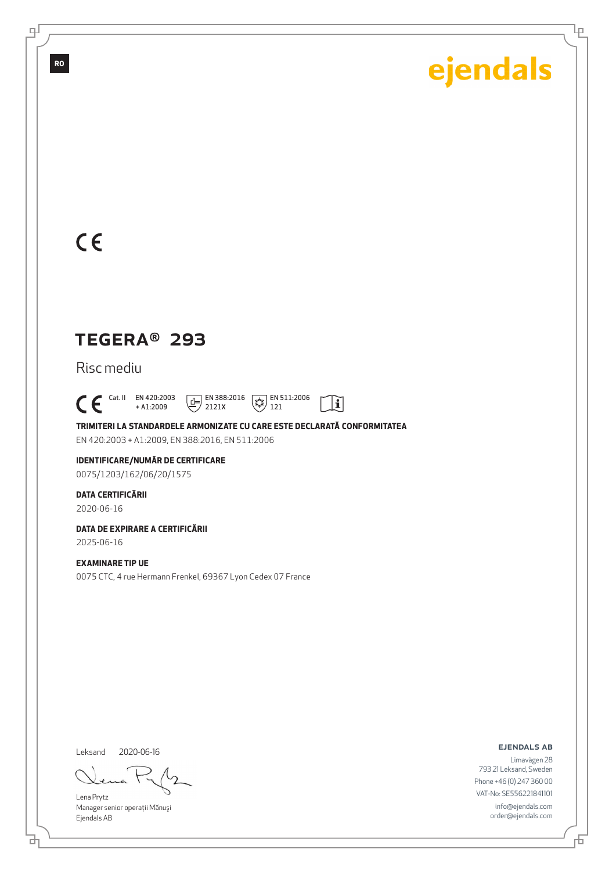Ļρ

## $C<sub>6</sub>$

**RO**

∓

## TEGERA® 293

Risc mediu

 $C \in$ <sup>Cat. II</sup> EN 420:2003 + A1:2009  $\boxed{1}$  EN 388:2016 2121X  $\sqrt{\overline{\mathcal{L}}\mathcal{L}}$  EN 511:2006

**TRIMITERI LA STANDARDELE ARMONIZATE CU CARE ESTE DECLARATĂ CONFORMITATEA** EN 420:2003 + A1:2009, EN 388:2016, EN 511:2006

121

 $|\tilde{\mathbf{i}}|$ 

### **IDENTIFICARE/NUMĂR DE CERTIFICARE**

0075/1203/162/06/20/1575

### **DATA CERTIFICĂRII**

2020-06-16

#### **DATA DE EXPIRARE A CERTIFICĂRII** 2025-06-16

### **EXAMINARE TIP UE**

0075 CTC, 4 rue Hermann Frenkel, 69367 Lyon Cedex 07 France

Leksand

ᄘ

2020-06-16

Lena Prytz Manager senior operaţii Mănuşi Ejendals AB

ejendals ab

Limavägen 28 793 21 Leksand, Sweden Phone +46 (0) 247 360 00 VAT-No: SE556221841101 info@ejendals.com order@ejendals.com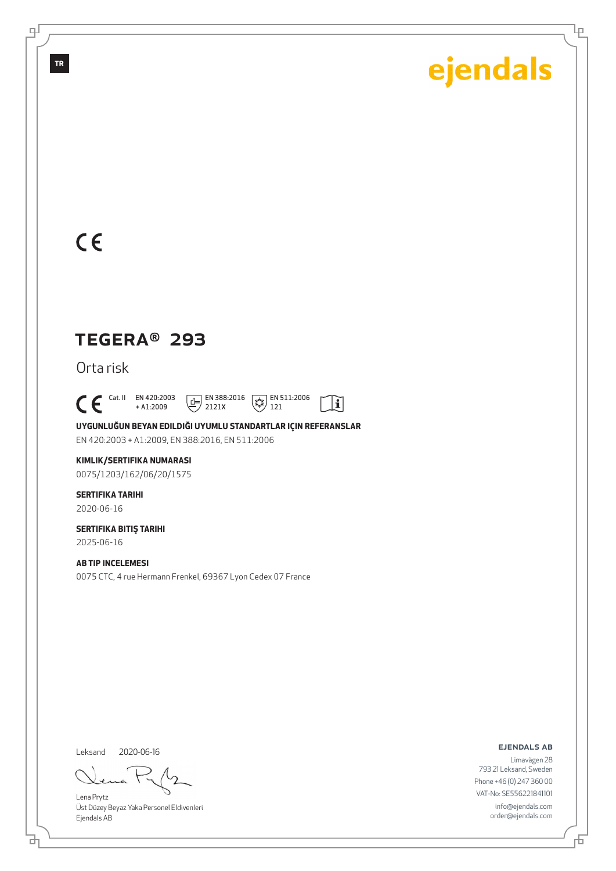Ļρ

## $C<sub>6</sub>$

**TR**

∓

## TEGERA® 293

Orta risk

 $C \in$ <sup>Cat. II</sup> EN 420:2003 + A1:2009  $\boxed{E}$  EN 388:2016

2121X  $\sqrt{\overline{\mathcal{L}}\mathcal{L}}$  EN 511:2006 121

 $|\tilde{\mathbf{i}}|$ 

**UYGUNLUĞUN BEYAN EDILDIĞI UYUMLU STANDARTLAR IÇIN REFERANSLAR** EN 420:2003 + A1:2009, EN 388:2016, EN 511:2006

#### **KIMLIK/SERTIFIKA NUMARASI**

0075/1203/162/06/20/1575

### **SERTIFIKA TARIHI**

2020-06-16

#### **SERTIFIKA BITIŞ TARIHI** 2025-06-16

**AB TIP INCELEMESI** 0075 CTC, 4 rue Hermann Frenkel, 69367 Lyon Cedex 07 France

Leksand 2020-06-16

Lena Prytz Üst Düzey Beyaz Yaka Personel Eldivenleri Ejendals AB

ejendals ab

Limavägen 28 793 21 Leksand, Sweden Phone +46 (0) 247 360 00 VAT-No: SE556221841101 info@ejendals.com order@ejendals.com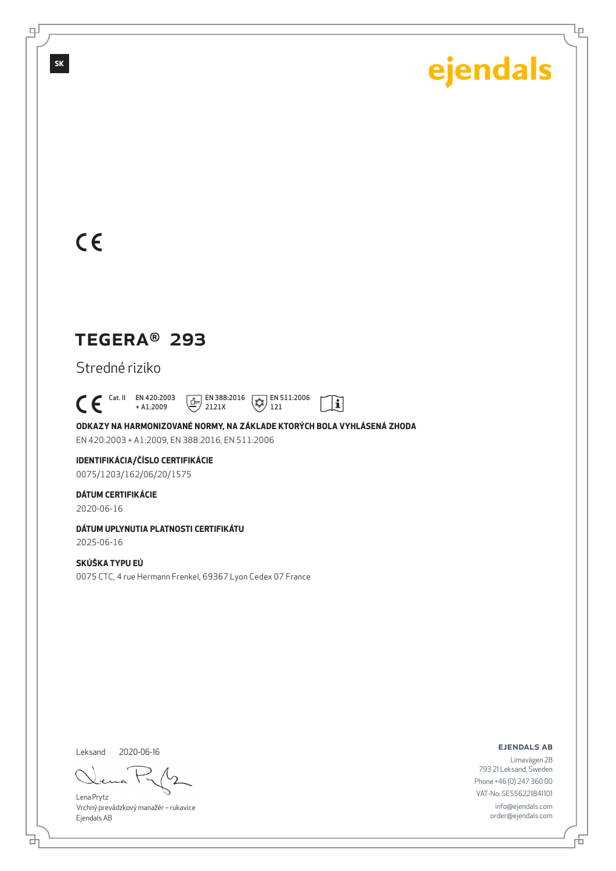Ļρ

## $C<sub>ε</sub>$

**SK**

டி

## TEGERA® 293

Stredné riziko

 $C \in$ <sup>Cat. II</sup> EN 420:2003 + A1:2009  $\boxed{1}$  EN 388:2016 2121X  $\sqrt{\overline{\mathcal{L}}\mathcal{L}}$  EN 511:2006 121

**ODKAZY NA HARMONIZOVANÉ NORMY, NA ZÁKLADE KTORÝCH BOLA VYHLÁSENÁ ZHODA** EN 420:2003 + A1:2009, EN 388:2016, EN 511:2006

 $|\tilde{\mathbf{i}}|$ 

## **IDENTIFIKÁCIA/ČÍSLO CERTIFIKÁCIE**

0075/1203/162/06/20/1575

### **DÁTUM CERTIFIKÁCIE**

2020-06-16

### **DÁTUM UPLYNUTIA PLATNOSTI CERTIFIKÁTU**

2025-06-16

### **SKÚŠKA TYPU EÚ**

0075 CTC, 4 rue Hermann Frenkel, 69367 Lyon Cedex 07 France

Leksand 2020-06-16

ᄘ

Lena Prytz Vrchný prevádzkový manažér – rukavice Ejendals AB

ejendals ab

Limavägen 28 793 21 Leksand, Sweden Phone +46 (0) 247 360 00 VAT-No: SE556221841101 info@ejendals.com order@ejendals.com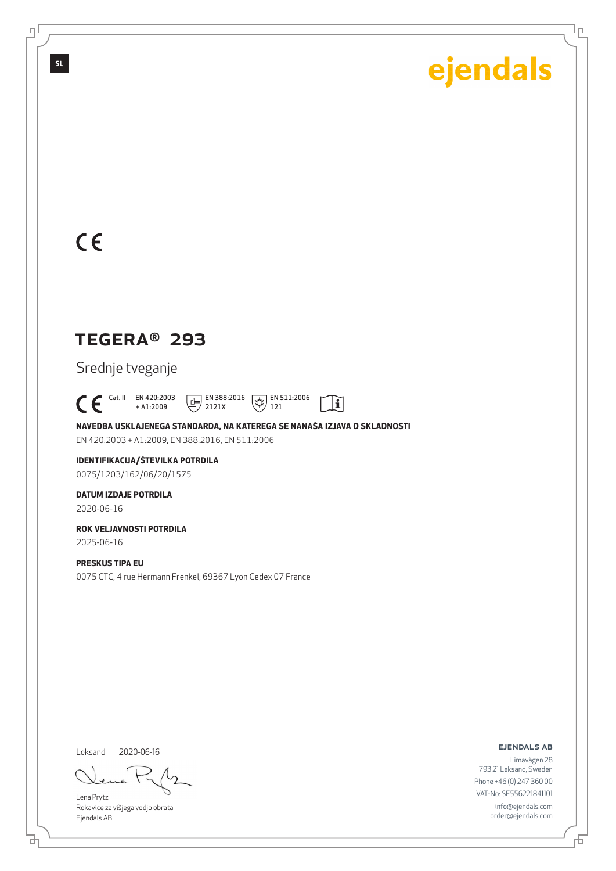Ļρ

## $C<sub>ε</sub>$

**SL**

로

## TEGERA® 293

Srednje tveganje

 $C \in$ <sup>Cat. II</sup> EN 420:2003 + A1:2009 EN 388:2016 EN 511:2006 2121X  $121$ 

**NAVEDBA USKLAJENEGA STANDARDA, NA KATEREGA SE NANAŠA IZJAVA O SKLADNOSTI** EN 420:2003 + A1:2009, EN 388:2016, EN 511:2006

 $|\tilde{\mathbf{i}}|$ 

## **IDENTIFIKACIJA/ŠTEVILKA POTRDILA**

0075/1203/162/06/20/1575

### **DATUM IZDAJE POTRDILA**

2020-06-16

#### **ROK VELJAVNOSTI POTRDILA** 2025-06-16

**PRESKUS TIPA EU** 0075 CTC, 4 rue Hermann Frenkel, 69367 Lyon Cedex 07 France

Leksand 2020-06-16

Lena Prytz Rokavice za višjega vodjo obrata Ejendals AB

ejendals ab

Limavägen 28 793 21 Leksand, Sweden Phone +46 (0) 247 360 00 VAT-No: SE556221841101 info@ejendals.com order@ejendals.com

ᄘ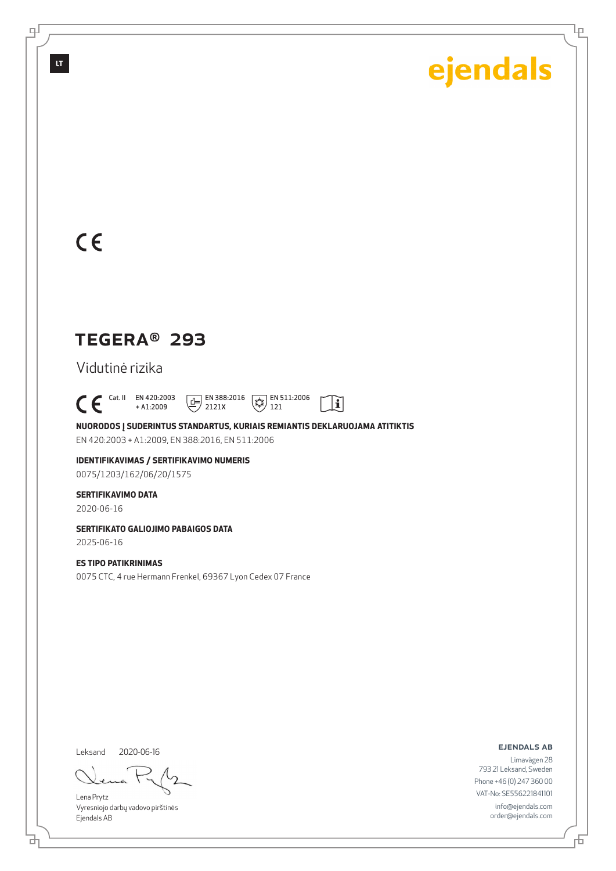Ļρ

## $C<sub>ε</sub>$

**LT**

டி

## TEGERA® 293

Vidutinė rizika

 $C \in$ <sup>Cat. II</sup> EN 420:2003 + A1:2009 EN 388:2016 EN 511:2006 2121X  $121$ 

**NUORODOS Į SUDERINTUS STANDARTUS, KURIAIS REMIANTIS DEKLARUOJAMA ATITIKTIS** EN 420:2003 + A1:2009, EN 388:2016, EN 511:2006

 $|\tilde{\mathbf{i}}|$ 

**IDENTIFIKAVIMAS / SERTIFIKAVIMO NUMERIS** 0075/1203/162/06/20/1575

#### **SERTIFIKAVIMO DATA**

2020-06-16

**SERTIFIKATO GALIOJIMO PABAIGOS DATA**

2025-06-16

### **ES TIPO PATIKRINIMAS**

0075 CTC, 4 rue Hermann Frenkel, 69367 Lyon Cedex 07 France

Leksand 2020-06-16

ᄘ

Lena Prytz Vyresniojo darbų vadovo pirštinės Ejendals AB

ejendals ab

Limavägen 28 793 21 Leksand, Sweden Phone +46 (0) 247 360 00 VAT-No: SE556221841101 info@ejendals.com order@ejendals.com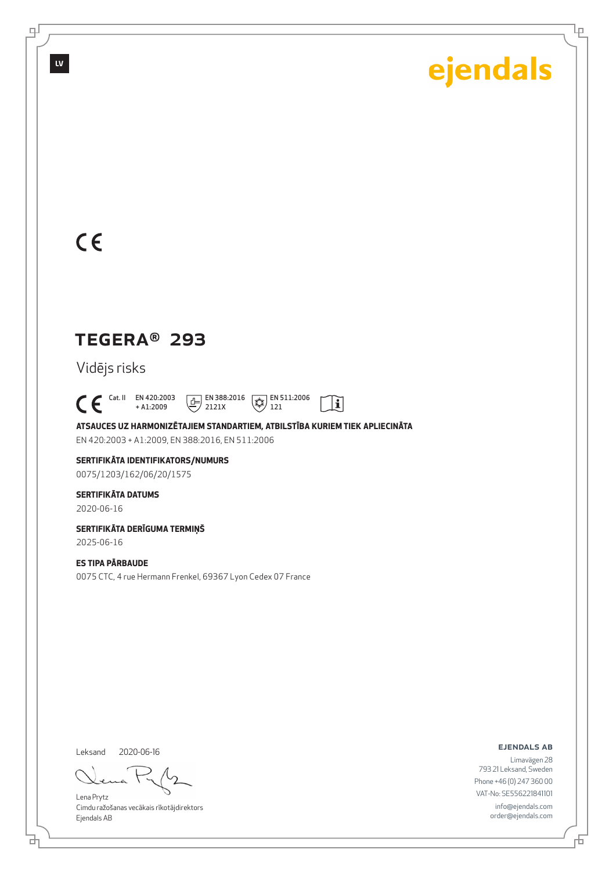Ļρ

## $C<sub>ε</sub>$

**LV**

டி

## TEGERA® 293

Vidējs risks

 $C \in$ <sup>Cat. II</sup> EN 420:2003 + A1:2009  $\boxed{E}$  EN 388:2016 2121X  $\left(\frac{1}{2}\right)$  EN 511:2006 121

**ATSAUCES UZ HARMONIZĒTAJIEM STANDARTIEM, ATBILSTĪBA KURIEM TIEK APLIECINĀTA** EN 420:2003 + A1:2009, EN 388:2016, EN 511:2006

 $\mathbf{i}$ 

#### **SERTIFIKĀTA IDENTIFIKATORS/NUMURS** 0075/1203/162/06/20/1575

**SERTIFIKĀTA DATUMS**

### 2020-06-16

**SERTIFIKĀTA DERĪGUMA TERMIŅŠ**

2025-06-16

### **ES TIPA PĀRBAUDE**

0075 CTC, 4 rue Hermann Frenkel, 69367 Lyon Cedex 07 France

Leksand 2020-06-16

ᄘ

Lena Prytz Cimdu ražošanas vecākais rīkotājdirektors Ejendals AB

ejendals ab

舌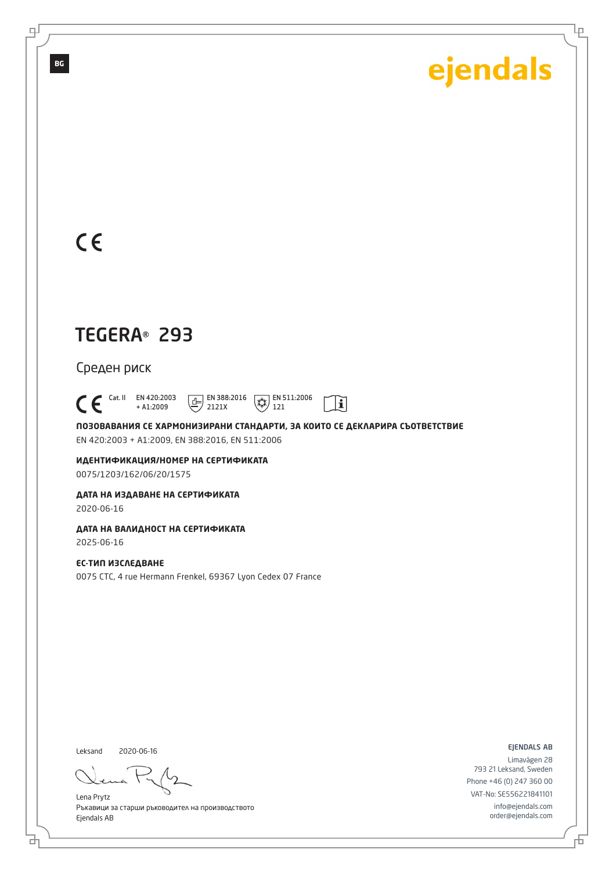Ļρ

## $C \in$

**BG**

டி

## TEGERA® 293

Среден риск

 $\bigcap_{+ A1:2009}^{\text{Cat. II}}$  EN 420:2003 + A1:2009  $\boxed{E}$  EN 388:2016 2121X  $\left(\frac{1}{4} \right)$  EN 511:2006 121

**ПОЗОВАВАНИЯ СЕ ХАРМОНИЗИРАНИ СТАНДАРТИ, ЗА КОИТО СЕ ДЕКЛАРИРА СЪОТВЕТСТВИЕ** EN 420:2003 + A1:2009, EN 388:2016, EN 511:2006

 $\mathbf{i}$ 

**ИДЕНТИФИКАЦИЯ/НОМЕР НА СЕРТИФИКАТА** 0075/1203/162/06/20/1575

**ДАТА НА ИЗДАВАНЕ НА СЕРТИФИКАТА**

2020-06-16

**ДАТА НА ВАЛИДНОСТ НА СЕРТИФИКАТА** 2025-06-16

**ЕС-ТИП ИЗСЛЕДВАНЕ** 0075 CTC, 4 rue Hermann Frenkel, 69367 Lyon Cedex 07 France

Leksand 2020-06-16

đ

Lena Prytz Ръкавици за старши ръководител на производството Ejendals AB

ejendals ab

舌